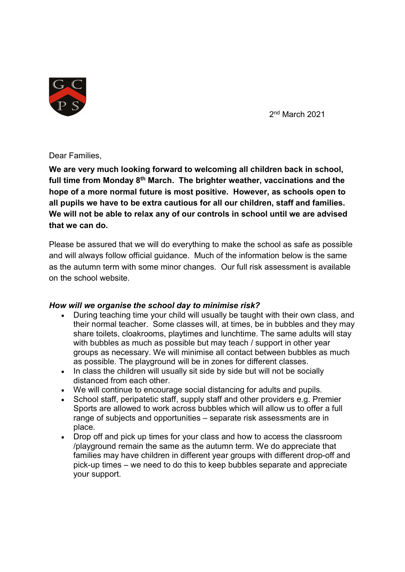

2nd March 2021

#### Dear Families,

We are very much looking forward to welcoming all children back in school, full time from Monday 8<sup>th</sup> March. The brighter weather, vaccinations and the hope of a more normal future is most positive. However, as schools open to all pupils we have to be extra cautious for all our children, staff and families. We will not be able to relax any of our controls in school until we are advised that we can do.

Please be assured that we will do everything to make the school as safe as possible and will always follow official guidance. Much of the information below is the same as the autumn term with some minor changes. Our full risk assessment is available on the school website.

#### How will we organise the school day to minimise risk?

- During teaching time your child will usually be taught with their own class, and their normal teacher. Some classes will, at times, be in bubbles and they may share toilets, cloakrooms, playtimes and lunchtime. The same adults will stay with bubbles as much as possible but may teach / support in other year groups as necessary. We will minimise all contact between bubbles as much as possible. The playground will be in zones for different classes.
- In class the children will usually sit side by side but will not be socially distanced from each other.
- We will continue to encourage social distancing for adults and pupils.
- School staff, peripatetic staff, supply staff and other providers e.g. Premier Sports are allowed to work across bubbles which will allow us to offer a full range of subjects and opportunities – separate risk assessments are in place.
- Drop off and pick up times for your class and how to access the classroom /playground remain the same as the autumn term. We do appreciate that families may have children in different year groups with different drop-off and pick-up times – we need to do this to keep bubbles separate and appreciate your support.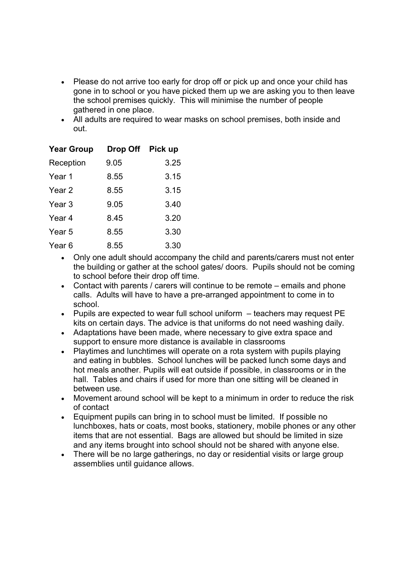- Please do not arrive too early for drop off or pick up and once your child has gone in to school or you have picked them up we are asking you to then leave the school premises quickly. This will minimise the number of people gathered in one place.
- All adults are required to wear masks on school premises, both inside and out.

| <b>Year Group</b> | Drop Off Pick up |      |
|-------------------|------------------|------|
| Reception         | 9.05             | 3.25 |
| Year 1            | 8.55             | 3.15 |
| Year 2            | 8.55             | 3.15 |
| Year <sub>3</sub> | 9.05             | 3.40 |
| Year 4            | 8.45             | 3.20 |
| Year 5            | 8.55             | 3.30 |
| Year <sub>6</sub> | 8.55             | 3.30 |

- Only one adult should accompany the child and parents/carers must not enter the building or gather at the school gates/ doors. Pupils should not be coming to school before their drop off time.
- Contact with parents / carers will continue to be remote emails and phone calls. Adults will have to have a pre-arranged appointment to come in to school.
- Pupils are expected to wear full school uniform  $-$  teachers may request PE kits on certain days. The advice is that uniforms do not need washing daily.
- Adaptations have been made, where necessary to give extra space and support to ensure more distance is available in classrooms
- Playtimes and lunchtimes will operate on a rota system with pupils playing and eating in bubbles. School lunches will be packed lunch some days and hot meals another. Pupils will eat outside if possible, in classrooms or in the hall. Tables and chairs if used for more than one sitting will be cleaned in between use.
- Movement around school will be kept to a minimum in order to reduce the risk of contact
- Equipment pupils can bring in to school must be limited. If possible no lunchboxes, hats or coats, most books, stationery, mobile phones or any other items that are not essential. Bags are allowed but should be limited in size and any items brought into school should not be shared with anyone else.
- There will be no large gatherings, no day or residential visits or large group assemblies until guidance allows.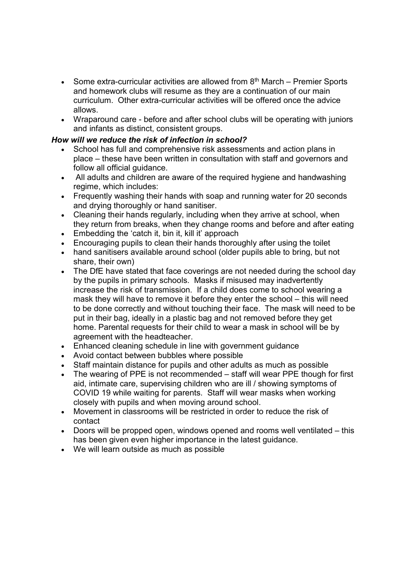- Some extra-curricular activities are allowed from  $8<sup>th</sup>$  March Premier Sports and homework clubs will resume as they are a continuation of our main curriculum. Other extra-curricular activities will be offered once the advice allows.
- Wraparound care before and after school clubs will be operating with juniors and infants as distinct, consistent groups.

#### How will we reduce the risk of infection in school?

- School has full and comprehensive risk assessments and action plans in place – these have been written in consultation with staff and governors and follow all official guidance.
- All adults and children are aware of the required hygiene and handwashing regime, which includes:
- Frequently washing their hands with soap and running water for 20 seconds and drying thoroughly or hand sanitiser.
- Cleaning their hands regularly, including when they arrive at school, when they return from breaks, when they change rooms and before and after eating
- Embedding the 'catch it, bin it, kill it' approach
- Encouraging pupils to clean their hands thoroughly after using the toilet
- hand sanitisers available around school (older pupils able to bring, but not share, their own)
- The DfE have stated that face coverings are not needed during the school day by the pupils in primary schools. Masks if misused may inadvertently increase the risk of transmission. If a child does come to school wearing a mask they will have to remove it before they enter the school – this will need to be done correctly and without touching their face. The mask will need to be put in their bag, ideally in a plastic bag and not removed before they get home. Parental requests for their child to wear a mask in school will be by agreement with the headteacher.
- Enhanced cleaning schedule in line with government guidance
- Avoid contact between bubbles where possible
- Staff maintain distance for pupils and other adults as much as possible
- The wearing of PPE is not recommended staff will wear PPE though for first aid, intimate care, supervising children who are ill / showing symptoms of COVID 19 while waiting for parents. Staff will wear masks when working closely with pupils and when moving around school.
- Movement in classrooms will be restricted in order to reduce the risk of contact
- Doors will be propped open, windows opened and rooms well ventilated this has been given even higher importance in the latest guidance.
- We will learn outside as much as possible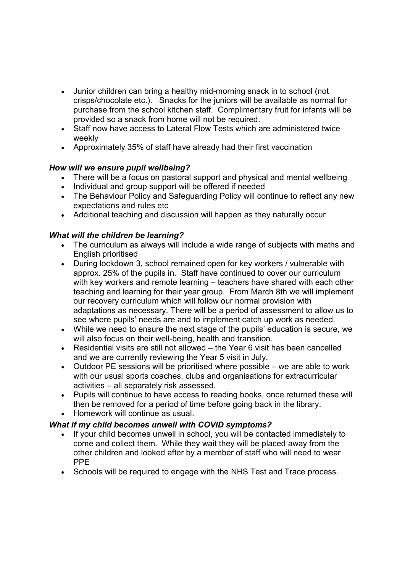- Junior children can bring a healthy mid-morning snack in to school (not crisps/chocolate etc.). Snacks for the juniors will be available as normal for purchase from the school kitchen staff. Complimentary fruit for infants will be provided so a snack from home will not be required.
- Staff now have access to Lateral Flow Tests which are administered twice weekly
- Approximately 35% of staff have already had their first vaccination

## How will we ensure pupil wellbeing?

- There will be a focus on pastoral support and physical and mental wellbeing
- Individual and group support will be offered if needed
- The Behaviour Policy and Safeguarding Policy will continue to reflect any new expectations and rules etc
- Additional teaching and discussion will happen as they naturally occur

## What will the children be learning?

- The curriculum as always will include a wide range of subjects with maths and English prioritised
- During lockdown 3, school remained open for key workers / vulnerable with approx. 25% of the pupils in. Staff have continued to cover our curriculum with key workers and remote learning – teachers have shared with each other teaching and learning for their year group. From March 8th we will implement our recovery curriculum which will follow our normal provision with adaptations as necessary. There will be a period of assessment to allow us to see where pupils' needs are and to implement catch up work as needed.
- While we need to ensure the next stage of the pupils' education is secure, we will also focus on their well-being, health and transition.
- Residential visits are still not allowed the Year 6 visit has been cancelled and we are currently reviewing the Year 5 visit in July.
- Outdoor PE sessions will be prioritised where possible we are able to work with our usual sports coaches, clubs and organisations for extracurricular activities – all separately risk assessed.
- Pupils will continue to have access to reading books, once returned these will then be removed for a period of time before going back in the library.
- Homework will continue as usual.

# What if my child becomes unwell with COVID symptoms?

- If your child becomes unwell in school, you will be contacted immediately to come and collect them. While they wait they will be placed away from the other children and looked after by a member of staff who will need to wear PPE
- Schools will be required to engage with the NHS Test and Trace process.